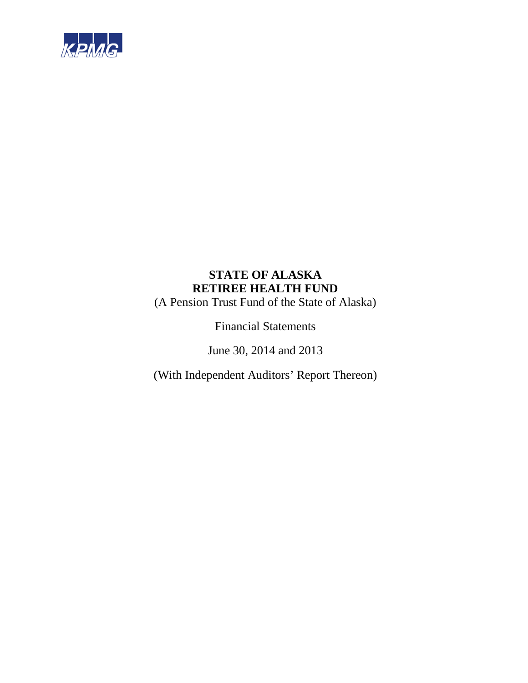

(A Pension Trust Fund of the State of Alaska)

Financial Statements

June 30, 2014 and 2013

(With Independent Auditors' Report Thereon)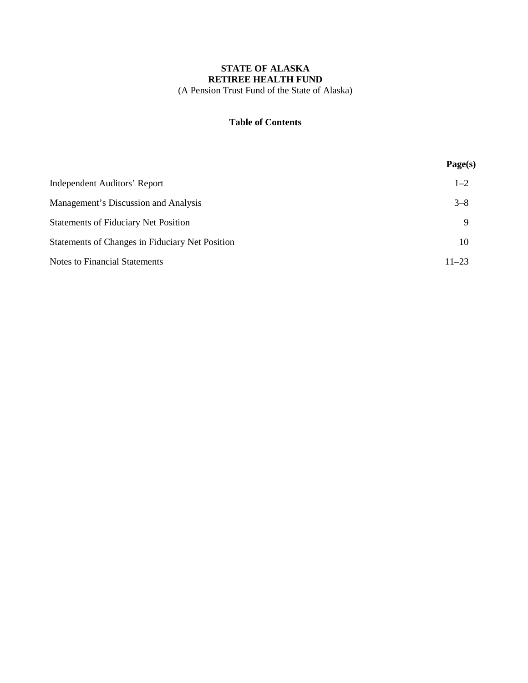### **STATE OF ALASKA RETIREE HEALTH FUND** (A Pension Trust Fund of the State of Alaska)

### **Table of Contents**

|                                                 | Page(s)   |
|-------------------------------------------------|-----------|
| Independent Auditors' Report                    | $1 - 2$   |
| Management's Discussion and Analysis            | $3 - 8$   |
| <b>Statements of Fiduciary Net Position</b>     | Q         |
| Statements of Changes in Fiduciary Net Position | 10        |
| Notes to Financial Statements                   | $11 - 23$ |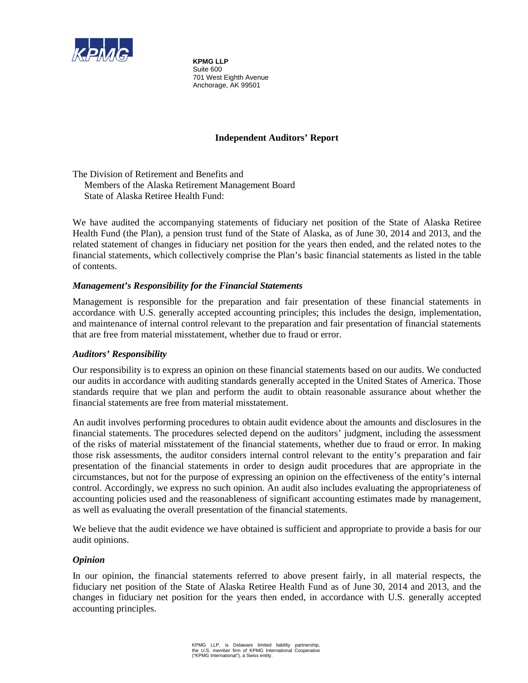

**KPMG LLP**  Suite 600 701 West Eighth Avenue Anchorage, AK 99501

### **Independent Auditors' Report**

The Division of Retirement and Benefits and Members of the Alaska Retirement Management Board State of Alaska Retiree Health Fund:

We have audited the accompanying statements of fiduciary net position of the State of Alaska Retiree Health Fund (the Plan), a pension trust fund of the State of Alaska, as of June 30, 2014 and 2013, and the related statement of changes in fiduciary net position for the years then ended, and the related notes to the financial statements, which collectively comprise the Plan's basic financial statements as listed in the table of contents.

### *Management's Responsibility for the Financial Statements*

Management is responsible for the preparation and fair presentation of these financial statements in accordance with U.S. generally accepted accounting principles; this includes the design, implementation, and maintenance of internal control relevant to the preparation and fair presentation of financial statements that are free from material misstatement, whether due to fraud or error.

### *Auditors' Responsibility*

Our responsibility is to express an opinion on these financial statements based on our audits. We conducted our audits in accordance with auditing standards generally accepted in the United States of America. Those standards require that we plan and perform the audit to obtain reasonable assurance about whether the financial statements are free from material misstatement.

An audit involves performing procedures to obtain audit evidence about the amounts and disclosures in the financial statements. The procedures selected depend on the auditors' judgment, including the assessment of the risks of material misstatement of the financial statements, whether due to fraud or error. In making those risk assessments, the auditor considers internal control relevant to the entity's preparation and fair presentation of the financial statements in order to design audit procedures that are appropriate in the circumstances, but not for the purpose of expressing an opinion on the effectiveness of the entity's internal control. Accordingly, we express no such opinion. An audit also includes evaluating the appropriateness of accounting policies used and the reasonableness of significant accounting estimates made by management, as well as evaluating the overall presentation of the financial statements.

We believe that the audit evidence we have obtained is sufficient and appropriate to provide a basis for our audit opinions.

### *Opinion*

In our opinion, the financial statements referred to above present fairly, in all material respects, the fiduciary net position of the State of Alaska Retiree Health Fund as of June 30, 2014 and 2013, and the changes in fiduciary net position for the years then ended, in accordance with U.S. generally accepted accounting principles.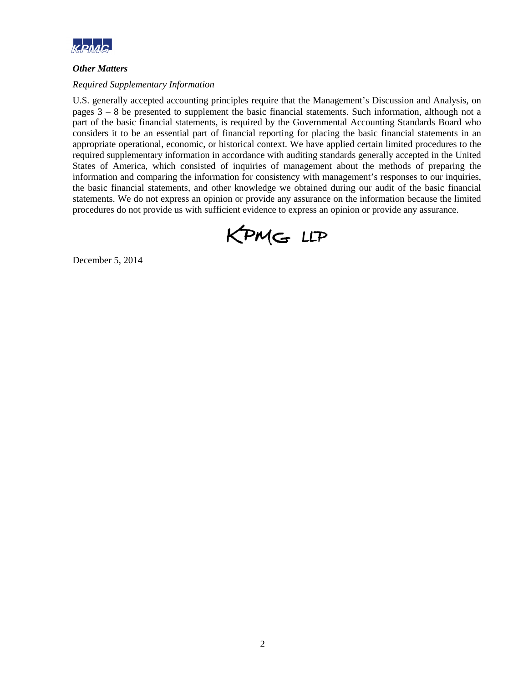

### *Other Matters*

### *Required Supplementary Information*

U.S. generally accepted accounting principles require that the Management's Discussion and Analysis, on pages 3 – 8 be presented to supplement the basic financial statements. Such information, although not a part of the basic financial statements, is required by the Governmental Accounting Standards Board who considers it to be an essential part of financial reporting for placing the basic financial statements in an appropriate operational, economic, or historical context. We have applied certain limited procedures to the required supplementary information in accordance with auditing standards generally accepted in the United States of America, which consisted of inquiries of management about the methods of preparing the information and comparing the information for consistency with management's responses to our inquiries, the basic financial statements, and other knowledge we obtained during our audit of the basic financial statements. We do not express an opinion or provide any assurance on the information because the limited procedures do not provide us with sufficient evidence to express an opinion or provide any assurance.



December 5, 2014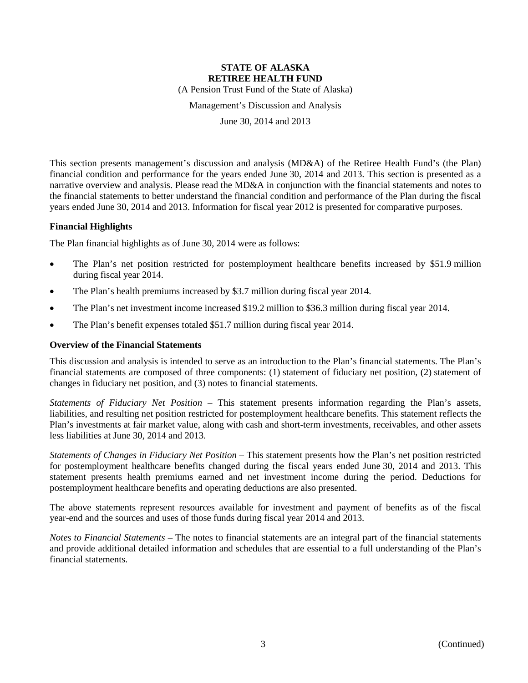(A Pension Trust Fund of the State of Alaska)

Management's Discussion and Analysis

June 30, 2014 and 2013

This section presents management's discussion and analysis (MD&A) of the Retiree Health Fund's (the Plan) financial condition and performance for the years ended June 30, 2014 and 2013. This section is presented as a narrative overview and analysis. Please read the MD&A in conjunction with the financial statements and notes to the financial statements to better understand the financial condition and performance of the Plan during the fiscal years ended June 30, 2014 and 2013. Information for fiscal year 2012 is presented for comparative purposes.

### **Financial Highlights**

The Plan financial highlights as of June 30, 2014 were as follows:

- The Plan's net position restricted for postemployment healthcare benefits increased by \$51.9 million during fiscal year 2014.
- The Plan's health premiums increased by \$3.7 million during fiscal year 2014.
- The Plan's net investment income increased \$19.2 million to \$36.3 million during fiscal year 2014.
- The Plan's benefit expenses totaled \$51.7 million during fiscal year 2014.

### **Overview of the Financial Statements**

This discussion and analysis is intended to serve as an introduction to the Plan's financial statements. The Plan's financial statements are composed of three components: (1) statement of fiduciary net position, (2) statement of changes in fiduciary net position, and (3) notes to financial statements.

*Statements of Fiduciary Net Position* – This statement presents information regarding the Plan's assets, liabilities, and resulting net position restricted for postemployment healthcare benefits. This statement reflects the Plan's investments at fair market value, along with cash and short-term investments, receivables, and other assets less liabilities at June 30, 2014 and 2013.

*Statements of Changes in Fiduciary Net Position* – This statement presents how the Plan's net position restricted for postemployment healthcare benefits changed during the fiscal years ended June 30, 2014 and 2013. This statement presents health premiums earned and net investment income during the period. Deductions for postemployment healthcare benefits and operating deductions are also presented.

The above statements represent resources available for investment and payment of benefits as of the fiscal year-end and the sources and uses of those funds during fiscal year 2014 and 2013.

*Notes to Financial Statements* – The notes to financial statements are an integral part of the financial statements and provide additional detailed information and schedules that are essential to a full understanding of the Plan's financial statements.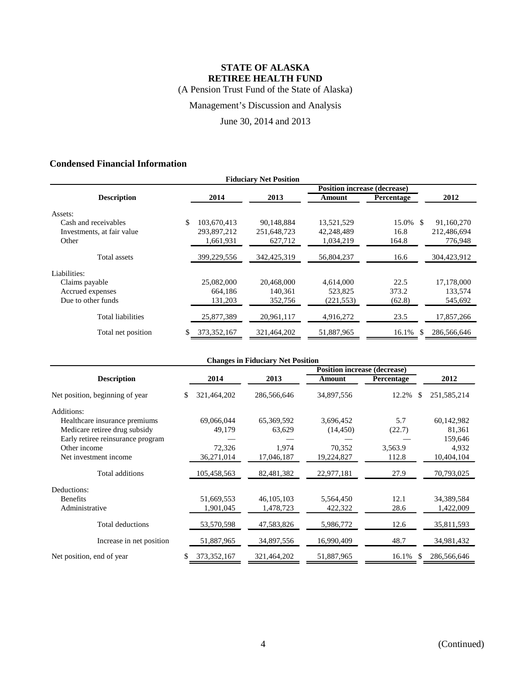(A Pension Trust Fund of the State of Alaska)

Management's Discussion and Analysis

June 30, 2014 and 2013

### **Condensed Financial Information**

| <b>Fiduciary Net Position</b> |    |               |             |                                     |                   |             |  |
|-------------------------------|----|---------------|-------------|-------------------------------------|-------------------|-------------|--|
|                               |    |               |             | <b>Position increase (decrease)</b> |                   |             |  |
| <b>Description</b>            |    | 2014          | 2013        | Amount                              | <b>Percentage</b> | 2012        |  |
| Assets:                       |    |               |             |                                     |                   |             |  |
| Cash and receivables          | \$ | 103.670.413   | 90.148.884  | 13,521,529                          | 15.0%<br>\$.      | 91,160,270  |  |
| Investments, at fair value    |    | 293,897,212   | 251,648,723 | 42,248,489                          | 16.8              | 212,486,694 |  |
| Other                         |    | 1,661,931     | 627,712     | 1,034,219                           | 164.8             | 776,948     |  |
| Total assets                  |    | 399,229,556   | 342,425,319 | 56,804,237                          | 16.6              | 304,423,912 |  |
| Liabilities:                  |    |               |             |                                     |                   |             |  |
| Claims payable                |    | 25,082,000    | 20.468,000  | 4,614,000                           | 22.5              | 17,178,000  |  |
| Accrued expenses              |    | 664,186       | 140,361     | 523,825                             | 373.2             | 133,574     |  |
| Due to other funds            |    | 131,203       | 352,756     | (221, 553)                          | (62.8)            | 545,692     |  |
| <b>Total liabilities</b>      |    | 25,877,389    | 20,961,117  | 4,916,272                           | 23.5              | 17,857,266  |  |
| Total net position            |    | 373, 352, 167 | 321,464,202 | 51,887,965                          | 16.1%<br>\$.      | 286,566,646 |  |

|                                   |     |               | <b>Changes in Fiduciary Net Position</b> | <b>Position increase (decrease)</b> |             |               |
|-----------------------------------|-----|---------------|------------------------------------------|-------------------------------------|-------------|---------------|
| <b>Description</b>                |     | 2014          | 2013                                     | Amount                              | Percentage  | 2012          |
| Net position, beginning of year   | \$. | 321,464,202   | 286,566,646                              | 34,897,556                          | 12.2%<br>-S | 251, 585, 214 |
| Additions:                        |     |               |                                          |                                     |             |               |
| Healthcare insurance premiums     |     | 69,066,044    | 65,369,592                               | 3,696,452                           | 5.7         | 60,142,982    |
| Medicare retiree drug subsidy     |     | 49,179        | 63,629                                   | (14, 450)                           | (22.7)      | 81,361        |
| Early retiree reinsurance program |     |               |                                          |                                     |             | 159,646       |
| Other income                      |     | 72,326        | 1.974                                    | 70,352                              | 3,563.9     | 4,932         |
| Net investment income             |     | 36,271,014    | 17,046,187                               | 19,224,827                          | 112.8       | 10,404,104    |
| Total additions                   |     | 105,458,563   | 82,481,382                               | 22,977,181                          | 27.9        | 70,793,025    |
| Deductions:                       |     |               |                                          |                                     |             |               |
| <b>Benefits</b>                   |     | 51,669,553    | 46, 105, 103                             | 5,564,450                           | 12.1        | 34,389,584    |
| Administrative                    |     | 1,901,045     | 1,478,723                                | 422,322                             | 28.6        | 1,422,009     |
| Total deductions                  |     | 53,570,598    | 47,583,826                               | 5,986,772                           | 12.6        | 35,811,593    |
| Increase in net position          |     | 51,887,965    | 34,897,556                               | 16,990,409                          | 48.7        | 34,981,432    |
| Net position, end of year         |     | 373, 352, 167 | 321,464,202                              | 51,887,965                          | 16.1%<br>S  | 286,566,646   |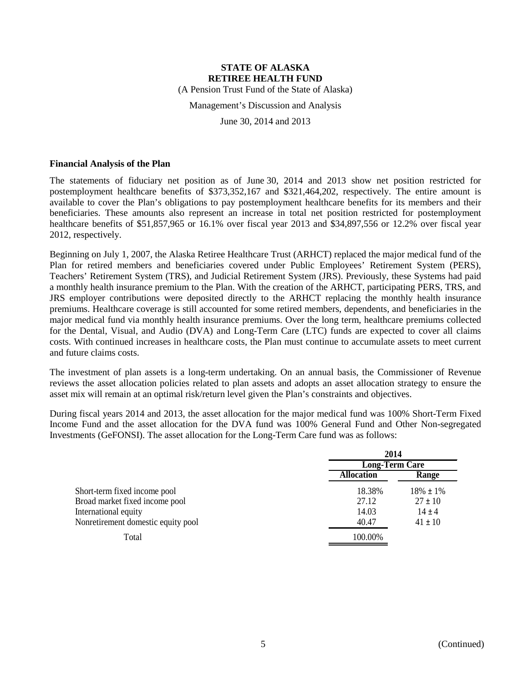(A Pension Trust Fund of the State of Alaska)

### Management's Discussion and Analysis

June 30, 2014 and 2013

#### **Financial Analysis of the Plan**

The statements of fiduciary net position as of June 30, 2014 and 2013 show net position restricted for postemployment healthcare benefits of \$373,352,167 and \$321,464,202, respectively. The entire amount is available to cover the Plan's obligations to pay postemployment healthcare benefits for its members and their beneficiaries. These amounts also represent an increase in total net position restricted for postemployment healthcare benefits of \$51,857,965 or 16.1% over fiscal year 2013 and \$34,897,556 or 12.2% over fiscal year 2012, respectively.

Beginning on July 1, 2007, the Alaska Retiree Healthcare Trust (ARHCT) replaced the major medical fund of the Plan for retired members and beneficiaries covered under Public Employees' Retirement System (PERS), Teachers' Retirement System (TRS), and Judicial Retirement System (JRS). Previously, these Systems had paid a monthly health insurance premium to the Plan. With the creation of the ARHCT, participating PERS, TRS, and JRS employer contributions were deposited directly to the ARHCT replacing the monthly health insurance premiums. Healthcare coverage is still accounted for some retired members, dependents, and beneficiaries in the major medical fund via monthly health insurance premiums. Over the long term, healthcare premiums collected for the Dental, Visual, and Audio (DVA) and Long-Term Care (LTC) funds are expected to cover all claims costs. With continued increases in healthcare costs, the Plan must continue to accumulate assets to meet current and future claims costs.

The investment of plan assets is a long-term undertaking. On an annual basis, the Commissioner of Revenue reviews the asset allocation policies related to plan assets and adopts an asset allocation strategy to ensure the asset mix will remain at an optimal risk/return level given the Plan's constraints and objectives.

During fiscal years 2014 and 2013, the asset allocation for the major medical fund was 100% Short-Term Fixed Income Fund and the asset allocation for the DVA fund was 100% General Fund and Other Non-segregated Investments (GeFONSI). The asset allocation for the Long-Term Care fund was as follows:

|                                    | 2014                  |                |  |  |
|------------------------------------|-----------------------|----------------|--|--|
|                                    | <b>Long-Term Care</b> |                |  |  |
|                                    | <b>Allocation</b>     | Range          |  |  |
| Short-term fixed income pool       | 18.38%                | $18\% \pm 1\%$ |  |  |
| Broad market fixed income pool     | 27.12                 | $27 \pm 10$    |  |  |
| International equity               | 14.03                 | $14 \pm 4$     |  |  |
| Nonretirement domestic equity pool | 40.47                 | $41 \pm 10$    |  |  |
| Total                              | 100.00%               |                |  |  |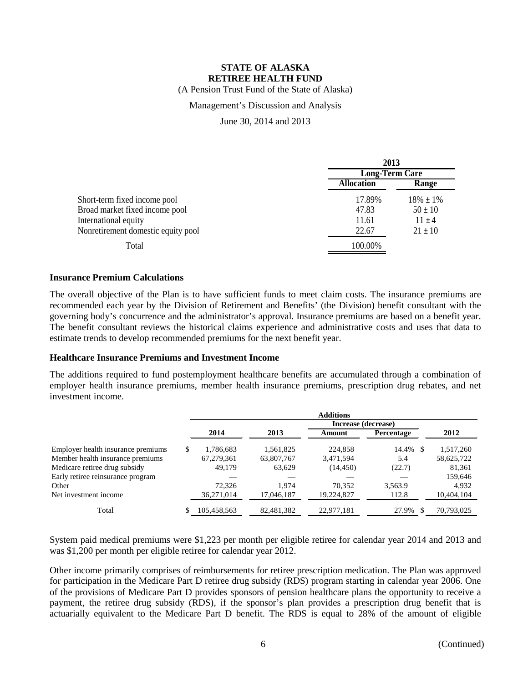(A Pension Trust Fund of the State of Alaska)

### Management's Discussion and Analysis

June 30, 2014 and 2013

|                                    | 2013                  |                |  |
|------------------------------------|-----------------------|----------------|--|
|                                    | <b>Long-Term Care</b> |                |  |
|                                    | <b>Allocation</b>     | Range          |  |
| Short-term fixed income pool       | 17.89%                | $18\% \pm 1\%$ |  |
| Broad market fixed income pool     | 47.83                 | $50 \pm 10$    |  |
| International equity               | 11.61                 | $11 \pm 4$     |  |
| Nonretirement domestic equity pool | 22.67                 | $21 \pm 10$    |  |
| Total                              | 100.00%               |                |  |

#### **Insurance Premium Calculations**

The overall objective of the Plan is to have sufficient funds to meet claim costs. The insurance premiums are recommended each year by the Division of Retirement and Benefits' (the Division) benefit consultant with the governing body's concurrence and the administrator's approval. Insurance premiums are based on a benefit year. The benefit consultant reviews the historical claims experience and administrative costs and uses that data to estimate trends to develop recommended premiums for the next benefit year.

### **Healthcare Insurance Premiums and Investment Income**

The additions required to fund postemployment healthcare benefits are accumulated through a combination of employer health insurance premiums, member health insurance premiums, prescription drug rebates, and net investment income.

|                                    |     | <b>Additions</b> |            |                     |                   |            |  |
|------------------------------------|-----|------------------|------------|---------------------|-------------------|------------|--|
|                                    |     |                  |            | Increase (decrease) |                   |            |  |
|                                    |     | 2014             | 2013       | Amount              | <b>Percentage</b> | 2012       |  |
| Employer health insurance premiums | \$. | 1,786,683        | 1,561,825  | 224,858             | 14.4%             | 1,517,260  |  |
| Member health insurance premiums   |     | 67.279.361       | 63,807,767 | 3,471,594           | 5.4               | 58,625,722 |  |
| Medicare retiree drug subsidy      |     | 49.179           | 63,629     | (14, 450)           | (22.7)            | 81,361     |  |
| Early retiree reinsurance program  |     |                  |            |                     |                   | 159,646    |  |
| Other                              |     | 72,326           | 1.974      | 70.352              | 3,563.9           | 4,932      |  |
| Net investment income              |     | 36,271,014       | 17,046,187 | 19,224,827          | 112.8             | 10,404,104 |  |
| Total                              |     | 105,458,563      | 82,481,382 | 22.977.181          | 27.9%             | 70,793,025 |  |

System paid medical premiums were \$1,223 per month per eligible retiree for calendar year 2014 and 2013 and was \$1,200 per month per eligible retiree for calendar year 2012.

Other income primarily comprises of reimbursements for retiree prescription medication. The Plan was approved for participation in the Medicare Part D retiree drug subsidy (RDS) program starting in calendar year 2006. One of the provisions of Medicare Part D provides sponsors of pension healthcare plans the opportunity to receive a payment, the retiree drug subsidy (RDS), if the sponsor's plan provides a prescription drug benefit that is actuarially equivalent to the Medicare Part D benefit. The RDS is equal to 28% of the amount of eligible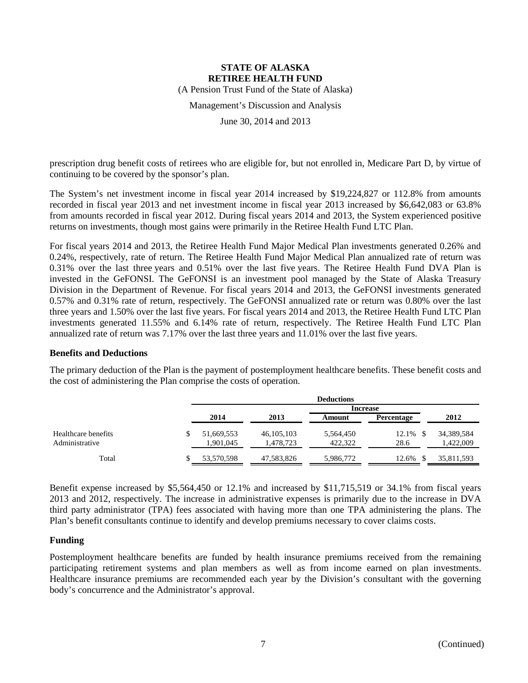(A Pension Trust Fund of the State of Alaska)

Management's Discussion and Analysis

June 30, 2014 and 2013

prescription drug benefit costs of retirees who are eligible for, but not enrolled in, Medicare Part D, by virtue of continuing to be covered by the sponsor's plan.

The System's net investment income in fiscal year 2014 increased by \$19,224,827 or 112.8% from amounts recorded in fiscal year 2013 and net investment income in fiscal year 2013 increased by \$6,642,083 or 63.8% from amounts recorded in fiscal year 2012. During fiscal years 2014 and 2013, the System experienced positive returns on investments, though most gains were primarily in the Retiree Health Fund LTC Plan.

For fiscal years 2014 and 2013, the Retiree Health Fund Major Medical Plan investments generated 0.26% and 0.24%, respectively, rate of return. The Retiree Health Fund Major Medical Plan annualized rate of return was 0.31% over the last three years and 0.51% over the last five years. The Retiree Health Fund DVA Plan is invested in the GeFONSI. The GeFONSI is an investment pool managed by the State of Alaska Treasury Division in the Department of Revenue. For fiscal years 2014 and 2013, the GeFONSI investments generated 0.57% and 0.31% rate of return, respectively. The GeFONSI annualized rate or return was 0.80% over the last three years and 1.50% over the last five years. For fiscal years 2014 and 2013, the Retiree Health Fund LTC Plan investments generated 11.55% and 6.14% rate of return, respectively. The Retiree Health Fund LTC Plan annualized rate of return was 7.17% over the last three years and 11.01% over the last five years.

### **Benefits and Deductions**

The primary deduction of the Plan is the payment of postemployment healthcare benefits. These benefit costs and the cost of administering the Plan comprise the costs of operation.

|                                       | <b>Deductions</b>       |                           |                      |                     |                         |  |
|---------------------------------------|-------------------------|---------------------------|----------------------|---------------------|-------------------------|--|
|                                       |                         |                           | <b>Increase</b>      |                     |                         |  |
|                                       | 2014                    | 2013                      | Amount               | <b>Percentage</b>   | 2012                    |  |
| Healthcare benefits<br>Administrative | 51,669,553<br>1,901,045 | 46, 105, 103<br>1,478,723 | 5,564,450<br>422,322 | $12.1\%$ \$<br>28.6 | 34,389,584<br>1,422,009 |  |
| Total                                 | 53,570,598              | 47,583,826                | 5,986,772            | 12.6%               | 35,811,593              |  |

Benefit expense increased by \$5,564,450 or 12.1% and increased by \$11,715,519 or 34.1% from fiscal years 2013 and 2012, respectively. The increase in administrative expenses is primarily due to the increase in DVA third party administrator (TPA) fees associated with having more than one TPA administering the plans. The Plan's benefit consultants continue to identify and develop premiums necessary to cover claims costs.

### **Funding**

Postemployment healthcare benefits are funded by health insurance premiums received from the remaining participating retirement systems and plan members as well as from income earned on plan investments. Healthcare insurance premiums are recommended each year by the Division's consultant with the governing body's concurrence and the Administrator's approval.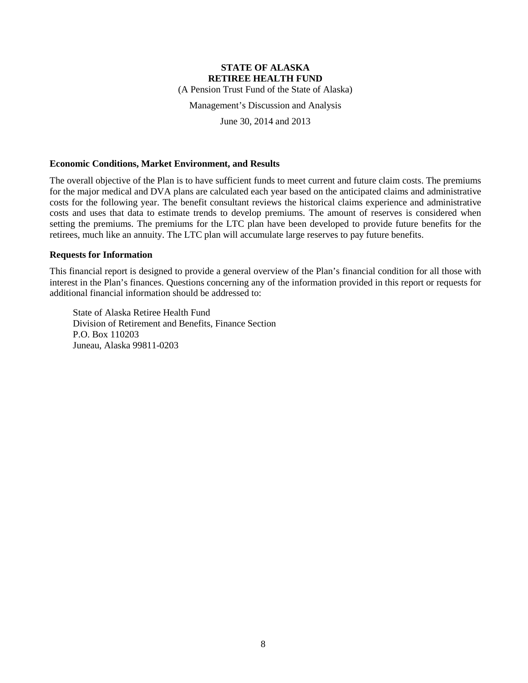(A Pension Trust Fund of the State of Alaska)

Management's Discussion and Analysis

June 30, 2014 and 2013

### **Economic Conditions, Market Environment, and Results**

The overall objective of the Plan is to have sufficient funds to meet current and future claim costs. The premiums for the major medical and DVA plans are calculated each year based on the anticipated claims and administrative costs for the following year. The benefit consultant reviews the historical claims experience and administrative costs and uses that data to estimate trends to develop premiums. The amount of reserves is considered when setting the premiums. The premiums for the LTC plan have been developed to provide future benefits for the retirees, much like an annuity. The LTC plan will accumulate large reserves to pay future benefits.

### **Requests for Information**

This financial report is designed to provide a general overview of the Plan's financial condition for all those with interest in the Plan's finances. Questions concerning any of the information provided in this report or requests for additional financial information should be addressed to:

State of Alaska Retiree Health Fund Division of Retirement and Benefits, Finance Section P.O. Box 110203 Juneau, Alaska 99811-0203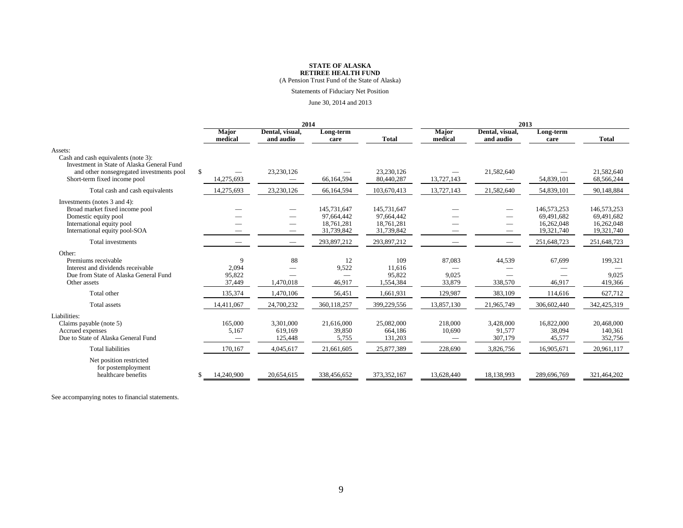(A Pension Trust Fund of the State of Alaska)

#### Statements of Fiduciary Net Position

#### June 30, 2014 and 2013

|                                                                                                                                                                          | 2014                           |                                 |                                                       |                                                       | 2013                      |                                |                                                       |                                                       |
|--------------------------------------------------------------------------------------------------------------------------------------------------------------------------|--------------------------------|---------------------------------|-------------------------------------------------------|-------------------------------------------------------|---------------------------|--------------------------------|-------------------------------------------------------|-------------------------------------------------------|
|                                                                                                                                                                          | <b>Major</b><br>medical        | Dental, visual,<br>and audio    | Long-term<br>care                                     | <b>Total</b>                                          | <b>Major</b><br>medical   | Dental, visual,<br>and audio   | Long-term<br>care                                     | <b>Total</b>                                          |
| Assets:<br>Cash and cash equivalents (note 3):<br>Investment in State of Alaska General Fund<br>and other nonsegregated investments pool<br>Short-term fixed income pool | $\mathbb{S}$<br>14,275,693     | 23,230,126                      | 66,164,594                                            | 23.230.126<br>80,440,287                              | 13,727,143                | 21,582,640                     | 54,839,101                                            | 21,582,640<br>68,566,244                              |
| Total cash and cash equivalents                                                                                                                                          | 14,275,693                     | 23,230,126                      | 66,164,594                                            | 103,670,413                                           | 13,727,143                | 21,582,640                     | 54,839,101                                            | 90,148,884                                            |
| Investments (notes 3 and 4):<br>Broad market fixed income pool<br>Domestic equity pool<br>International equity pool<br>International equity pool-SOA                     |                                |                                 | 145,731,647<br>97,664,442<br>18,761,281<br>31,739,842 | 145,731,647<br>97.664.442<br>18,761,281<br>31,739,842 |                           | $\overline{\phantom{0}}$       | 146,573,253<br>69,491,682<br>16,262,048<br>19,321,740 | 146.573.253<br>69,491,682<br>16,262,048<br>19,321,740 |
| Total investments                                                                                                                                                        |                                |                                 | 293,897,212                                           | 293,897,212                                           |                           |                                | 251,648,723                                           | 251,648,723                                           |
| Other:<br>Premiums receivable<br>Interest and dividends receivable<br>Due from State of Alaska General Fund<br>Other assets                                              | 9<br>2,094<br>95,822<br>37,449 | 88<br>1,470,018                 | 12<br>9,522<br>46,917                                 | 109<br>11,616<br>95,822<br>1,554,384                  | 87,083<br>9.025<br>33,879 | 44,539<br>338,570              | 67,699<br>46,917                                      | 199,321<br>9.025<br>419,366                           |
| Total other                                                                                                                                                              | 135,374                        | 1.470.106                       | 56,451                                                | 1,661,931                                             | 129,987                   | 383,109                        | 114,616                                               | 627,712                                               |
| <b>Total assets</b>                                                                                                                                                      | 14,411,067                     | 24,700,232                      | 360,118,257                                           | 399,229,556                                           | 13,857,130                | 21,965,749                     | 306,602,440                                           | 342,425,319                                           |
| Liabilities:<br>Claims payable (note 5)<br>Accrued expenses<br>Due to State of Alaska General Fund                                                                       | 165,000<br>5,167               | 3.301.000<br>619.169<br>125,448 | 21,616,000<br>39,850<br>5,755                         | 25,082,000<br>664.186<br>131,203                      | 218,000<br>10,690         | 3,428,000<br>91,577<br>307,179 | 16,822,000<br>38,094<br>45,577                        | 20,468,000<br>140,361<br>352,756                      |
| <b>Total liabilities</b>                                                                                                                                                 | 170,167                        | 4,045,617                       | 21,661,605                                            | 25,877,389                                            | 228,690                   | 3,826,756                      | 16,905,671                                            | 20,961,117                                            |
| Net position restricted<br>for postemployment<br>healthcare benefits                                                                                                     | 14.240.900                     | 20.654.615                      | 338.456.652                                           | 373.352.167                                           | 13.628.440                | 18.138.993                     | 289,696,769                                           | 321.464.202                                           |

See accompanying notes to financial statements.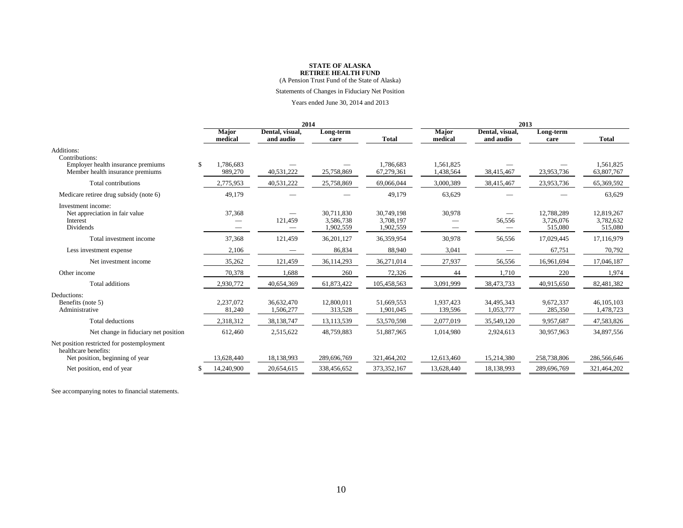(A Pension Trust Fund of the State of Alaska)

#### Statements of Changes in Fiduciary Net Position

#### Years ended June 30, 2014 and 2013

|                                                                                                       |     | 2014                 |                              |                                      |                                      | 2013                    |                              |                                    |                                    |
|-------------------------------------------------------------------------------------------------------|-----|----------------------|------------------------------|--------------------------------------|--------------------------------------|-------------------------|------------------------------|------------------------------------|------------------------------------|
|                                                                                                       |     | Major<br>medical     | Dental, visual,<br>and audio | Long-term<br>care                    | <b>Total</b>                         | <b>Major</b><br>medical | Dental, visual,<br>and audio | Long-term<br>care                  | <b>Total</b>                       |
| Additions:<br>Contributions:                                                                          |     |                      |                              |                                      |                                      |                         |                              |                                    |                                    |
| Employer health insurance premiums<br>Member health insurance premiums                                | \$. | 1,786,683<br>989,270 | 40,531,222                   | 25,758,869                           | 1,786,683<br>67,279,361              | 1,561,825<br>1,438,564  | 38,415,467                   | 23,953,736                         | 1,561,825<br>63,807,767            |
| Total contributions                                                                                   |     | 2,775,953            | 40,531,222                   | 25,758,869                           | 69,066,044                           | 3,000,389               | 38,415,467                   | 23,953,736                         | 65,369,592                         |
| Medicare retiree drug subsidy (note 6)                                                                |     | 49,179               |                              |                                      | 49,179                               | 63,629                  |                              |                                    | 63,629                             |
| Investment income:<br>Net appreciation in fair value<br>Interest<br>Dividends                         |     | 37,368               | 121,459                      | 30,711,830<br>3,586,738<br>1,902,559 | 30,749,198<br>3,708,197<br>1,902,559 | 30,978                  | 56,556                       | 12,788,289<br>3,726,076<br>515,080 | 12,819,267<br>3,782,632<br>515,080 |
| Total investment income                                                                               |     | 37,368               | 121,459                      | 36,201,127                           | 36,359,954                           | 30,978                  | 56,556                       | 17,029,445                         | 17,116,979                         |
| Less investment expense                                                                               |     | 2,106                |                              | 86,834                               | 88,940                               | 3,041                   |                              | 67,751                             | 70,792                             |
| Net investment income                                                                                 |     | 35,262               | 121,459                      | 36,114,293                           | 36,271,014                           | 27,937                  | 56,556                       | 16,961,694                         | 17,046,187                         |
| Other income                                                                                          |     | 70,378               | 1,688                        | 260                                  | 72,326                               | 44                      | 1,710                        | 220                                | 1,974                              |
| Total additions                                                                                       |     | 2,930,772            | 40,654,369                   | 61,873,422                           | 105,458,563                          | 3,091,999               | 38,473,733                   | 40,915,650                         | 82,481,382                         |
| Deductions:<br>Benefits (note 5)<br>Administrative                                                    |     | 2,237,072<br>81,240  | 36,632,470<br>1,506,277      | 12,800,011<br>313,528                | 51,669,553<br>1,901,045              | 1,937,423<br>139,596    | 34,495,343<br>1,053,777      | 9,672,337<br>285,350               | 46, 105, 103<br>1,478,723          |
| Total deductions                                                                                      |     | 2,318,312            | 38,138,747                   | 13,113,539                           | 53,570,598                           | 2,077,019               | 35,549,120                   | 9,957,687                          | 47,583,826                         |
| Net change in fiduciary net position                                                                  |     | 612,460              | 2,515,622                    | 48,759,883                           | 51,887,965                           | 1,014,980               | 2,924,613                    | 30,957,963                         | 34,897,556                         |
| Net position restricted for postemployment<br>healthcare benefits:<br>Net position, beginning of year |     | 13,628,440           | 18,138,993                   | 289,696,769                          | 321,464,202                          | 12,613,460              | 15,214,380                   | 258,738,806                        | 286,566,646                        |
| Net position, end of year                                                                             |     | 14,240,900           | 20,654,615                   | 338,456,652                          | 373, 352, 167                        | 13,628,440              | 18,138,993                   | 289,696,769                        | 321,464,202                        |

See accompanying notes to financial statements.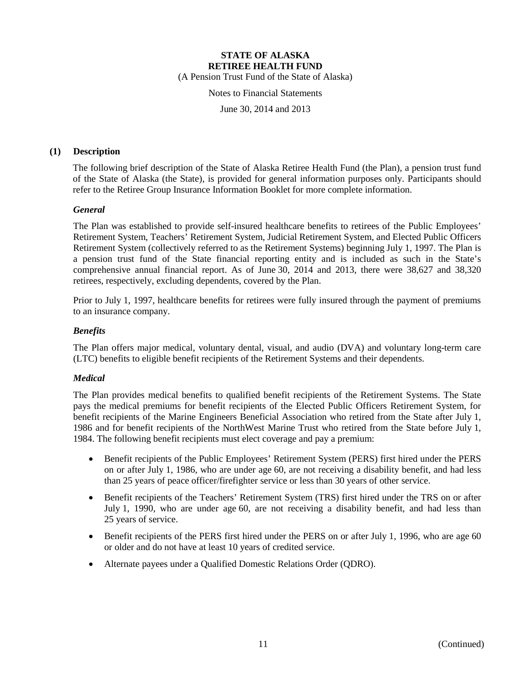(A Pension Trust Fund of the State of Alaska)

Notes to Financial Statements

June 30, 2014 and 2013

### **(1) Description**

The following brief description of the State of Alaska Retiree Health Fund (the Plan), a pension trust fund of the State of Alaska (the State), is provided for general information purposes only. Participants should refer to the Retiree Group Insurance Information Booklet for more complete information.

### *General*

The Plan was established to provide self-insured healthcare benefits to retirees of the Public Employees' Retirement System, Teachers' Retirement System, Judicial Retirement System, and Elected Public Officers Retirement System (collectively referred to as the Retirement Systems) beginning July 1, 1997. The Plan is a pension trust fund of the State financial reporting entity and is included as such in the State's comprehensive annual financial report. As of June 30, 2014 and 2013, there were 38,627 and 38,320 retirees, respectively, excluding dependents, covered by the Plan.

Prior to July 1, 1997, healthcare benefits for retirees were fully insured through the payment of premiums to an insurance company.

### *Benefits*

The Plan offers major medical, voluntary dental, visual, and audio (DVA) and voluntary long-term care (LTC) benefits to eligible benefit recipients of the Retirement Systems and their dependents.

### *Medical*

The Plan provides medical benefits to qualified benefit recipients of the Retirement Systems. The State pays the medical premiums for benefit recipients of the Elected Public Officers Retirement System, for benefit recipients of the Marine Engineers Beneficial Association who retired from the State after July 1, 1986 and for benefit recipients of the NorthWest Marine Trust who retired from the State before July 1, 1984. The following benefit recipients must elect coverage and pay a premium:

- Benefit recipients of the Public Employees' Retirement System (PERS) first hired under the PERS on or after July 1, 1986, who are under age 60, are not receiving a disability benefit, and had less than 25 years of peace officer/firefighter service or less than 30 years of other service.
- Benefit recipients of the Teachers' Retirement System (TRS) first hired under the TRS on or after July 1, 1990, who are under age 60, are not receiving a disability benefit, and had less than 25 years of service.
- Benefit recipients of the PERS first hired under the PERS on or after July 1, 1996, who are age 60 or older and do not have at least 10 years of credited service.
- Alternate payees under a Qualified Domestic Relations Order (QDRO).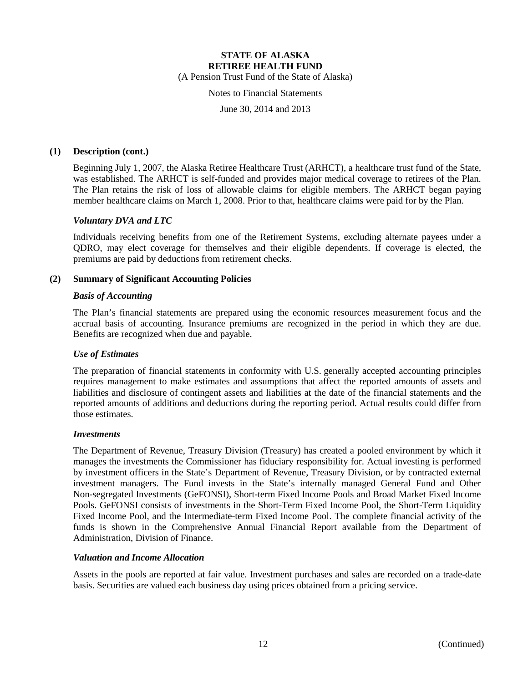(A Pension Trust Fund of the State of Alaska)

Notes to Financial Statements

June 30, 2014 and 2013

### **(1) Description (cont.)**

Beginning July 1, 2007, the Alaska Retiree Healthcare Trust (ARHCT), a healthcare trust fund of the State, was established. The ARHCT is self-funded and provides major medical coverage to retirees of the Plan. The Plan retains the risk of loss of allowable claims for eligible members. The ARHCT began paying member healthcare claims on March 1, 2008. Prior to that, healthcare claims were paid for by the Plan.

### *Voluntary DVA and LTC*

Individuals receiving benefits from one of the Retirement Systems, excluding alternate payees under a QDRO, may elect coverage for themselves and their eligible dependents. If coverage is elected, the premiums are paid by deductions from retirement checks.

#### **(2) Summary of Significant Accounting Policies**

#### *Basis of Accounting*

The Plan's financial statements are prepared using the economic resources measurement focus and the accrual basis of accounting. Insurance premiums are recognized in the period in which they are due. Benefits are recognized when due and payable.

### *Use of Estimates*

The preparation of financial statements in conformity with U.S. generally accepted accounting principles requires management to make estimates and assumptions that affect the reported amounts of assets and liabilities and disclosure of contingent assets and liabilities at the date of the financial statements and the reported amounts of additions and deductions during the reporting period. Actual results could differ from those estimates.

#### *Investments*

The Department of Revenue, Treasury Division (Treasury) has created a pooled environment by which it manages the investments the Commissioner has fiduciary responsibility for. Actual investing is performed by investment officers in the State's Department of Revenue, Treasury Division, or by contracted external investment managers. The Fund invests in the State's internally managed General Fund and Other Non-segregated Investments (GeFONSI), Short-term Fixed Income Pools and Broad Market Fixed Income Pools. GeFONSI consists of investments in the Short-Term Fixed Income Pool, the Short-Term Liquidity Fixed Income Pool, and the Intermediate-term Fixed Income Pool. The complete financial activity of the funds is shown in the Comprehensive Annual Financial Report available from the Department of Administration, Division of Finance.

### *Valuation and Income Allocation*

Assets in the pools are reported at fair value. Investment purchases and sales are recorded on a trade-date basis. Securities are valued each business day using prices obtained from a pricing service.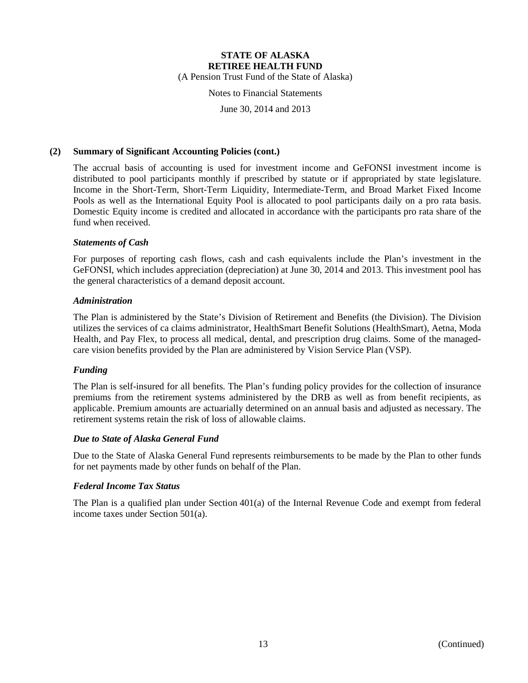(A Pension Trust Fund of the State of Alaska)

Notes to Financial Statements

June 30, 2014 and 2013

### **(2) Summary of Significant Accounting Policies (cont.)**

The accrual basis of accounting is used for investment income and GeFONSI investment income is distributed to pool participants monthly if prescribed by statute or if appropriated by state legislature. Income in the Short-Term, Short-Term Liquidity, Intermediate-Term, and Broad Market Fixed Income Pools as well as the International Equity Pool is allocated to pool participants daily on a pro rata basis. Domestic Equity income is credited and allocated in accordance with the participants pro rata share of the fund when received.

### *Statements of Cash*

For purposes of reporting cash flows, cash and cash equivalents include the Plan's investment in the GeFONSI, which includes appreciation (depreciation) at June 30, 2014 and 2013. This investment pool has the general characteristics of a demand deposit account.

### *Administration*

The Plan is administered by the State's Division of Retirement and Benefits (the Division). The Division utilizes the services of ca claims administrator, HealthSmart Benefit Solutions (HealthSmart), Aetna, Moda Health, and Pay Flex, to process all medical, dental, and prescription drug claims. Some of the managedcare vision benefits provided by the Plan are administered by Vision Service Plan (VSP).

### *Funding*

The Plan is self-insured for all benefits. The Plan's funding policy provides for the collection of insurance premiums from the retirement systems administered by the DRB as well as from benefit recipients, as applicable. Premium amounts are actuarially determined on an annual basis and adjusted as necessary. The retirement systems retain the risk of loss of allowable claims.

### *Due to State of Alaska General Fund*

Due to the State of Alaska General Fund represents reimbursements to be made by the Plan to other funds for net payments made by other funds on behalf of the Plan.

### *Federal Income Tax Status*

The Plan is a qualified plan under Section 401(a) of the Internal Revenue Code and exempt from federal income taxes under Section 501(a).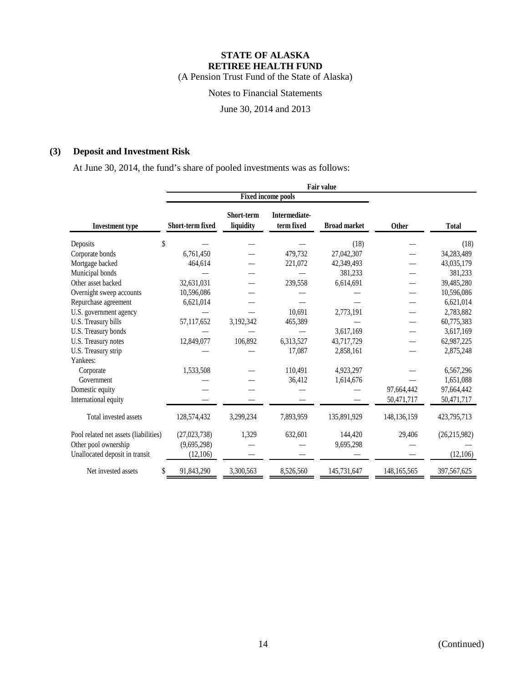(A Pension Trust Fund of the State of Alaska)

### Notes to Financial Statements

June 30, 2014 and 2013

### **(3) Deposit and Investment Risk**

At June 30, 2014, the fund's share of pooled investments was as follows:

|                                       | <b>Fixed income pools</b> |                         |                             |                     |               |                |  |
|---------------------------------------|---------------------------|-------------------------|-----------------------------|---------------------|---------------|----------------|--|
| <b>Investment type</b>                | Short-term fixed          | Short-term<br>liquidity | Intermediate-<br>term fixed | <b>Broad market</b> | <b>Other</b>  | <b>Total</b>   |  |
| \$<br>Deposits                        |                           |                         |                             | (18)                |               | (18)           |  |
| Corporate bonds                       | 6,761,450                 |                         | 479.732                     | 27,042,307          |               | 34,283,489     |  |
| Mortgage backed                       | 464,614                   |                         | 221,072                     | 42,349,493          |               | 43,035,179     |  |
| Municipal bonds                       |                           |                         |                             | 381,233             |               | 381,233        |  |
| Other asset backed                    | 32,631,031                |                         | 239,558                     | 6,614,691           |               | 39,485,280     |  |
| Overnight sweep accounts              | 10,596,086                |                         |                             |                     |               | 10,596,086     |  |
| Repurchase agreement                  | 6,621,014                 |                         |                             |                     |               | 6,621,014      |  |
| U.S. government agency                |                           |                         | 10,691                      | 2,773,191           |               | 2,783,882      |  |
| U.S. Treasury bills                   | 57,117,652                | 3,192,342               | 465,389                     |                     |               | 60,775,383     |  |
| U.S. Treasury bonds                   |                           |                         |                             | 3,617,169           |               | 3,617,169      |  |
| U.S. Treasury notes                   | 12,849,077                | 106,892                 | 6,313,527                   | 43.717.729          |               | 62,987,225     |  |
| U.S. Treasury strip                   |                           |                         | 17.087                      | 2,858,161           |               | 2,875,248      |  |
| Yankees:                              |                           |                         |                             |                     |               |                |  |
| Corporate                             | 1,533,508                 |                         | 110,491                     | 4,923,297           |               | 6,567,296      |  |
| Government                            |                           |                         | 36,412                      | 1,614,676           |               | 1,651,088      |  |
| Domestic equity                       |                           |                         |                             |                     | 97,664,442    | 97,664,442     |  |
| International equity                  |                           |                         |                             |                     | 50,471,717    | 50,471,717     |  |
| Total invested assets                 | 128,574,432               | 3,299,234               | 7,893,959                   | 135,891,929         | 148, 136, 159 | 423,795,713    |  |
| Pool related net assets (liabilities) | (27,023,738)              | 1,329                   | 632,601                     | 144,420             | 29,406        | (26, 215, 982) |  |
| Other pool ownership                  | (9,695,298)               |                         |                             | 9,695,298           |               |                |  |
| Unallocated deposit in transit        | (12,106)                  |                         |                             |                     |               | (12,106)       |  |
| Net invested assets                   | 91,843,290                | 3,300,563               | 8,526,560                   | 145,731,647         | 148, 165, 565 | 397,567,625    |  |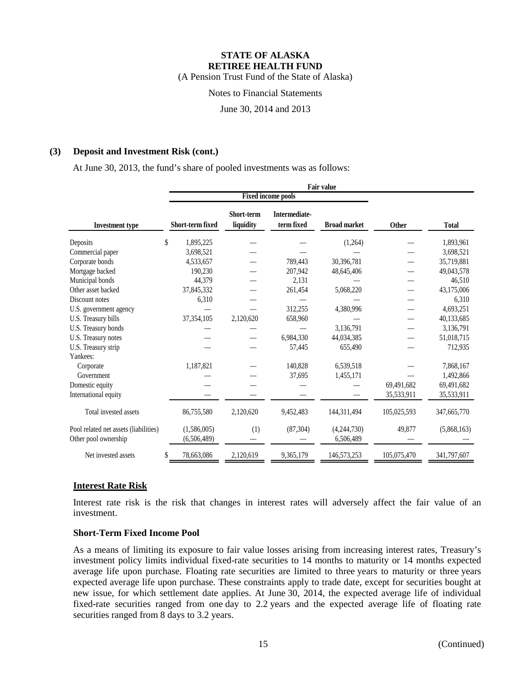(A Pension Trust Fund of the State of Alaska)

Notes to Financial Statements

June 30, 2014 and 2013

### **(3) Deposit and Investment Risk (cont.)**

At June 30, 2013, the fund's share of pooled investments was as follows:

|                                       |                         | <b>Fixed income pools</b> |                                    |                     |              |              |
|---------------------------------------|-------------------------|---------------------------|------------------------------------|---------------------|--------------|--------------|
| <b>Investment type</b>                | <b>Short-term fixed</b> | Short-term<br>liquidity   | <b>Intermediate-</b><br>term fixed | <b>Broad market</b> | <b>Other</b> | <b>Total</b> |
| Deposits                              | \$<br>1,895,225         |                           |                                    | (1,264)             |              | 1,893,961    |
| Commercial paper                      | 3,698,521               |                           |                                    |                     |              | 3,698,521    |
| Corporate bonds                       | 4,533,657               |                           | 789,443                            | 30,396,781          |              | 35,719,881   |
| Mortgage backed                       | 190,230                 |                           | 207,942                            | 48,645,406          |              | 49,043,578   |
| Municipal bonds                       | 44.379                  |                           | 2.131                              |                     |              | 46.510       |
| Other asset backed                    | 37,845,332              |                           | 261,454                            | 5,068,220           |              | 43,175,006   |
| Discount notes                        | 6,310                   |                           |                                    |                     |              | 6,310        |
| U.S. government agency                |                         |                           | 312,255                            | 4,380,996           |              | 4,693,251    |
| U.S. Treasury bills                   | 37, 354, 105            | 2,120,620                 | 658,960                            |                     |              | 40,133,685   |
| U.S. Treasury bonds                   |                         |                           |                                    | 3,136,791           |              | 3,136,791    |
| U.S. Treasury notes                   |                         |                           | 6,984,330                          | 44,034,385          |              | 51,018,715   |
| U.S. Treasury strip                   |                         |                           | 57,445                             | 655,490             |              | 712,935      |
| Yankees:                              |                         |                           |                                    |                     |              |              |
| Corporate                             | 1,187,821               |                           | 140,828                            | 6,539,518           |              | 7,868,167    |
| Government                            |                         |                           | 37,695                             | 1,455,171           |              | 1,492,866    |
| Domestic equity                       |                         |                           |                                    |                     | 69.491.682   | 69,491,682   |
| International equity                  |                         |                           |                                    |                     | 35,533,911   | 35,533,911   |
| Total invested assets                 | 86,755,580              | 2,120,620                 | 9,452,483                          | 144,311,494         | 105,025,593  | 347,665,770  |
| Pool related net assets (liabilities) | (1,586,005)             | (1)                       | (87, 304)                          | (4,244,730)         | 49,877       | (5,868,163)  |
| Other pool ownership                  | (6,506,489)             |                           |                                    | 6,506,489           |              |              |
| Net invested assets                   | 78,663,086<br>S         | 2,120,619                 | 9,365,179                          | 146,573,253         | 105,075,470  | 341,797,607  |

### **Interest Rate Risk**

Interest rate risk is the risk that changes in interest rates will adversely affect the fair value of an investment.

### **Short-Term Fixed Income Pool**

As a means of limiting its exposure to fair value losses arising from increasing interest rates, Treasury's investment policy limits individual fixed-rate securities to 14 months to maturity or 14 months expected average life upon purchase. Floating rate securities are limited to three years to maturity or three years expected average life upon purchase. These constraints apply to trade date, except for securities bought at new issue, for which settlement date applies. At June 30, 2014, the expected average life of individual fixed-rate securities ranged from one day to 2.2 years and the expected average life of floating rate securities ranged from 8 days to 3.2 years.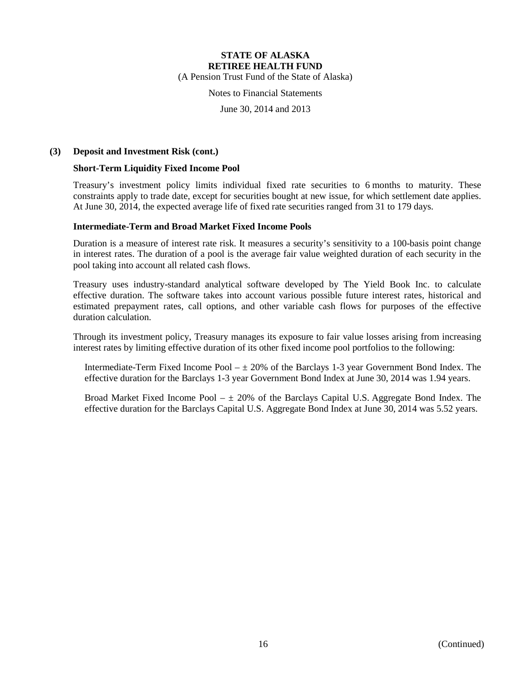(A Pension Trust Fund of the State of Alaska)

Notes to Financial Statements

June 30, 2014 and 2013

### **(3) Deposit and Investment Risk (cont.)**

### **Short-Term Liquidity Fixed Income Pool**

Treasury's investment policy limits individual fixed rate securities to 6 months to maturity. These constraints apply to trade date, except for securities bought at new issue, for which settlement date applies. At June 30, 2014, the expected average life of fixed rate securities ranged from 31 to 179 days.

### **Intermediate-Term and Broad Market Fixed Income Pools**

Duration is a measure of interest rate risk. It measures a security's sensitivity to a 100-basis point change in interest rates. The duration of a pool is the average fair value weighted duration of each security in the pool taking into account all related cash flows.

Treasury uses industry-standard analytical software developed by The Yield Book Inc. to calculate effective duration. The software takes into account various possible future interest rates, historical and estimated prepayment rates, call options, and other variable cash flows for purposes of the effective duration calculation.

Through its investment policy, Treasury manages its exposure to fair value losses arising from increasing interest rates by limiting effective duration of its other fixed income pool portfolios to the following:

Intermediate-Term Fixed Income Pool  $- \pm 20\%$  of the Barclays 1-3 year Government Bond Index. The effective duration for the Barclays 1-3 year Government Bond Index at June 30, 2014 was 1.94 years.

Broad Market Fixed Income Pool  $-\pm 20\%$  of the Barclays Capital U.S. Aggregate Bond Index. The effective duration for the Barclays Capital U.S. Aggregate Bond Index at June 30, 2014 was 5.52 years.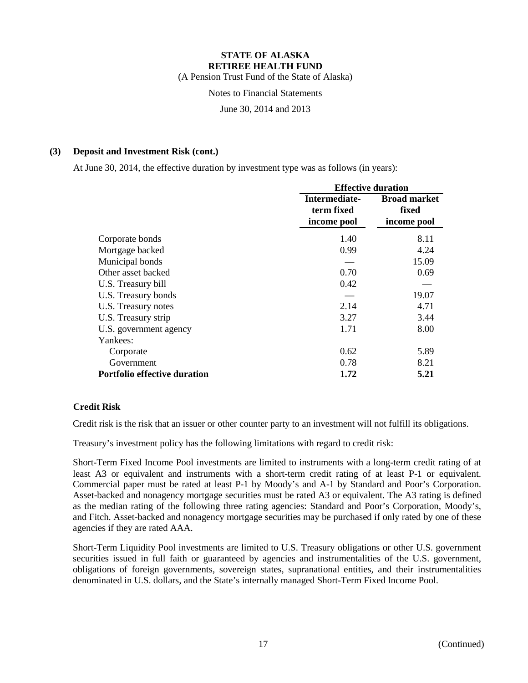(A Pension Trust Fund of the State of Alaska)

Notes to Financial Statements

June 30, 2014 and 2013

### **(3) Deposit and Investment Risk (cont.)**

At June 30, 2014, the effective duration by investment type was as follows (in years):

|                              | <b>Effective duration</b>                  |                                             |  |
|------------------------------|--------------------------------------------|---------------------------------------------|--|
|                              | Intermediate-<br>term fixed<br>income pool | <b>Broad market</b><br>fixed<br>income pool |  |
| Corporate bonds              | 1.40                                       | 8.11                                        |  |
| Mortgage backed              | 0.99                                       | 4.24                                        |  |
| Municipal bonds              |                                            | 15.09                                       |  |
| Other asset backed           | 0.70                                       | 0.69                                        |  |
| U.S. Treasury bill           | 0.42                                       |                                             |  |
| <b>U.S. Treasury bonds</b>   |                                            | 19.07                                       |  |
| U.S. Treasury notes          | 2.14                                       | 4.71                                        |  |
| U.S. Treasury strip          | 3.27                                       | 3.44                                        |  |
| U.S. government agency       | 1.71                                       | 8.00                                        |  |
| Yankees:                     |                                            |                                             |  |
| Corporate                    | 0.62                                       | 5.89                                        |  |
| Government                   | 0.78                                       | 8.21                                        |  |
| Portfolio effective duration | 1.72                                       | 5.21                                        |  |
|                              |                                            |                                             |  |

### **Credit Risk**

Credit risk is the risk that an issuer or other counter party to an investment will not fulfill its obligations.

Treasury's investment policy has the following limitations with regard to credit risk:

Short-Term Fixed Income Pool investments are limited to instruments with a long-term credit rating of at least A3 or equivalent and instruments with a short-term credit rating of at least P-1 or equivalent. Commercial paper must be rated at least P-1 by Moody's and A-1 by Standard and Poor's Corporation. Asset-backed and nonagency mortgage securities must be rated A3 or equivalent. The A3 rating is defined as the median rating of the following three rating agencies: Standard and Poor's Corporation, Moody's, and Fitch. Asset-backed and nonagency mortgage securities may be purchased if only rated by one of these agencies if they are rated AAA.

Short-Term Liquidity Pool investments are limited to U.S. Treasury obligations or other U.S. government securities issued in full faith or guaranteed by agencies and instrumentalities of the U.S. government, obligations of foreign governments, sovereign states, supranational entities, and their instrumentalities denominated in U.S. dollars, and the State's internally managed Short-Term Fixed Income Pool.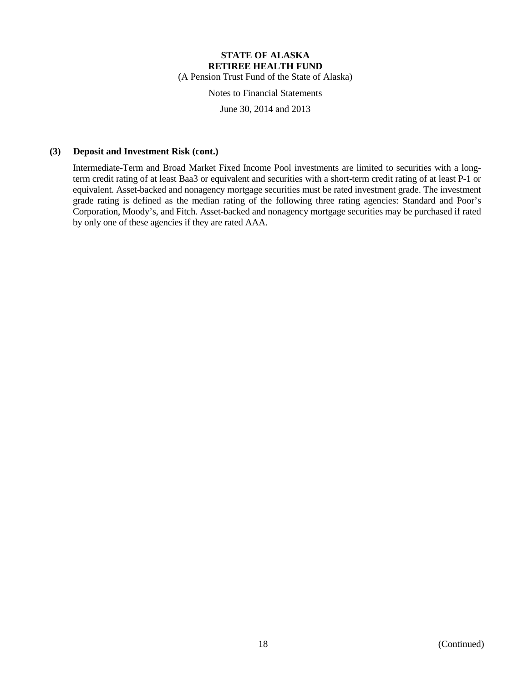(A Pension Trust Fund of the State of Alaska)

Notes to Financial Statements

June 30, 2014 and 2013

### **(3) Deposit and Investment Risk (cont.)**

Intermediate-Term and Broad Market Fixed Income Pool investments are limited to securities with a longterm credit rating of at least Baa3 or equivalent and securities with a short-term credit rating of at least P-1 or equivalent. Asset-backed and nonagency mortgage securities must be rated investment grade. The investment grade rating is defined as the median rating of the following three rating agencies: Standard and Poor's Corporation, Moody's, and Fitch. Asset-backed and nonagency mortgage securities may be purchased if rated by only one of these agencies if they are rated AAA.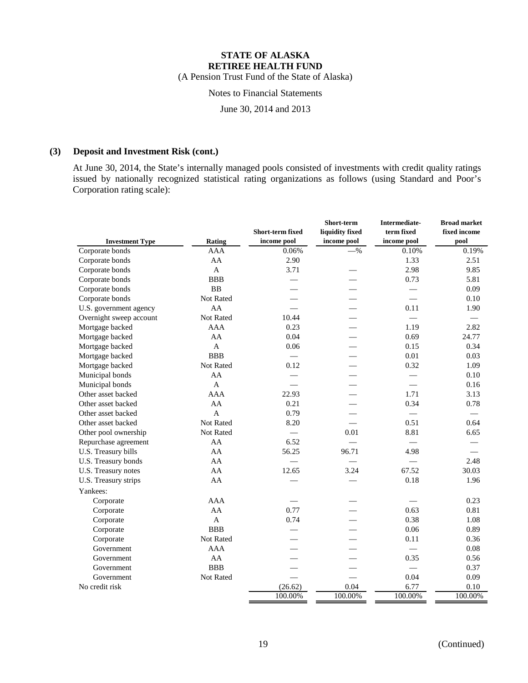(A Pension Trust Fund of the State of Alaska)

### Notes to Financial Statements

June 30, 2014 and 2013

### **(3) Deposit and Investment Risk (cont.)**

At June 30, 2014, the State's internally managed pools consisted of investments with credit quality ratings issued by nationally recognized statistical rating organizations as follows (using Standard and Poor's Corporation rating scale):

|                         |                | Short-term fixed         | Short-term<br>liquidity fixed | Intermediate-<br>term fixed | <b>Broad market</b><br>fixed income |
|-------------------------|----------------|--------------------------|-------------------------------|-----------------------------|-------------------------------------|
| <b>Investment Type</b>  | Rating         | income pool              | income pool                   | income pool                 | pool                                |
| Corporate bonds         | AAA            | 0.06%                    | $-$ %                         | 0.10%                       | 0.19%                               |
| Corporate bonds         | AA             | 2.90                     |                               | 1.33                        | 2.51                                |
| Corporate bonds         | A              | 3.71                     |                               | 2.98                        | 9.85                                |
| Corporate bonds         | <b>BBB</b>     |                          |                               | 0.73                        | 5.81                                |
| Corporate bonds         | B <sub>B</sub> |                          |                               |                             | 0.09                                |
| Corporate bonds         | Not Rated      |                          |                               |                             | 0.10                                |
| U.S. government agency  | AA             | $\overline{\phantom{0}}$ |                               | 0.11                        | 1.90                                |
| Overnight sweep account | Not Rated      | 10.44                    |                               |                             |                                     |
| Mortgage backed         | <b>AAA</b>     | 0.23                     |                               | 1.19                        | 2.82                                |
| Mortgage backed         | AA             | 0.04                     |                               | 0.69                        | 24.77                               |
| Mortgage backed         | $\mathbf{A}$   | 0.06                     |                               | 0.15                        | 0.34                                |
| Mortgage backed         | <b>BBB</b>     |                          |                               | 0.01                        | 0.03                                |
| Mortgage backed         | Not Rated      | 0.12                     |                               | 0.32                        | 1.09                                |
| Municipal bonds         | AA             |                          |                               |                             | 0.10                                |
| Municipal bonds         | $\mathbf{A}$   |                          |                               |                             | 0.16                                |
| Other asset backed      | AAA            | 22.93                    |                               | 1.71                        | 3.13                                |
| Other asset backed      | AA             | 0.21                     |                               | 0.34                        | 0.78                                |
| Other asset backed      | A              | 0.79                     |                               |                             |                                     |
| Other asset backed      | Not Rated      | 8.20                     |                               | 0.51                        | 0.64                                |
| Other pool ownership    | Not Rated      | $\qquad \qquad$          | 0.01                          | 8.81                        | 6.65                                |
| Repurchase agreement    | AA             | 6.52                     |                               |                             |                                     |
| U.S. Treasury bills     | AA             | 56.25                    | 96.71                         | 4.98                        |                                     |
| U.S. Treasury bonds     | AA             |                          |                               |                             | 2.48                                |
| U.S. Treasury notes     | AA             | 12.65                    | 3.24                          | 67.52                       | 30.03                               |
| U.S. Treasury strips    | AA             |                          |                               | 0.18                        | 1.96                                |
| Yankees:                |                |                          |                               |                             |                                     |
| Corporate               | <b>AAA</b>     |                          |                               |                             | 0.23                                |
| Corporate               | AA             | 0.77                     |                               | 0.63                        | 0.81                                |
| Corporate               | $\overline{A}$ | 0.74                     |                               | 0.38                        | 1.08                                |
| Corporate               | <b>BBB</b>     | $\overline{\phantom{0}}$ |                               | 0.06                        | 0.89                                |
| Corporate               | Not Rated      |                          |                               | 0.11                        | 0.36                                |
| Government              | <b>AAA</b>     |                          |                               |                             | 0.08                                |
| Government              | AA             |                          |                               | 0.35                        | 0.56                                |
| Government              | <b>BBB</b>     |                          |                               |                             | 0.37                                |
| Government              | Not Rated      |                          |                               | 0.04                        | 0.09                                |
| No credit risk          |                | (26.62)                  | 0.04                          | 6.77                        | 0.10                                |
|                         |                | 100.00%                  | 100.00%                       | 100.00%                     | 100.00%                             |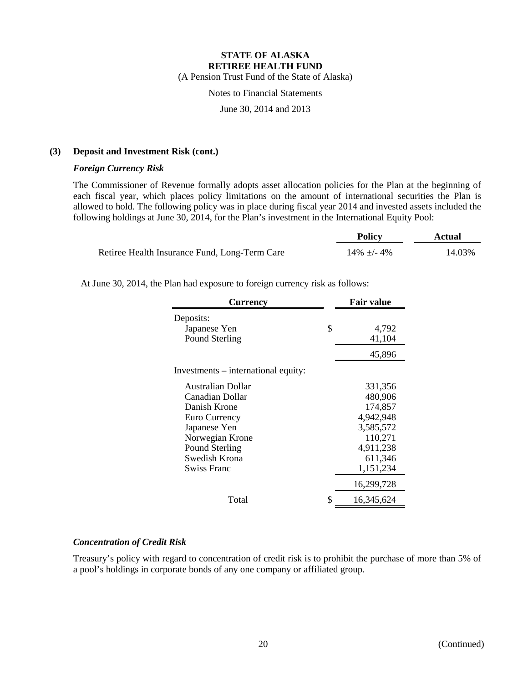(A Pension Trust Fund of the State of Alaska)

#### Notes to Financial Statements

June 30, 2014 and 2013

### **(3) Deposit and Investment Risk (cont.)**

### *Foreign Currency Risk*

The Commissioner of Revenue formally adopts asset allocation policies for the Plan at the beginning of each fiscal year, which places policy limitations on the amount of international securities the Plan is allowed to hold. The following policy was in place during fiscal year 2014 and invested assets included the following holdings at June 30, 2014, for the Plan's investment in the International Equity Pool:

|                                               | <b>Policy</b>  | Actual |
|-----------------------------------------------|----------------|--------|
| Retiree Health Insurance Fund, Long-Term Care | $14\% + (-4\%$ | 14.03% |

At June 30, 2014, the Plan had exposure to foreign currency risk as follows:

| <b>Currency</b>                     | <b>Fair value</b> |
|-------------------------------------|-------------------|
| Deposits:                           |                   |
| Japanese Yen                        | \$<br>4,792       |
| Pound Sterling                      | 41,104            |
|                                     | 45,896            |
| Investments – international equity: |                   |
| Australian Dollar                   | 331,356           |
| Canadian Dollar                     | 480,906           |
| Danish Krone                        | 174,857           |
| Euro Currency                       | 4,942,948         |
| Japanese Yen                        | 3,585,572         |
| Norwegian Krone                     | 110,271           |
| Pound Sterling                      | 4,911,238         |
| Swedish Krona                       | 611,346           |
| Swiss Franc                         | 1,151,234         |
|                                     | 16,299,728        |
| Total                               | \$<br>16,345,624  |

### *Concentration of Credit Risk*

Treasury's policy with regard to concentration of credit risk is to prohibit the purchase of more than 5% of a pool's holdings in corporate bonds of any one company or affiliated group.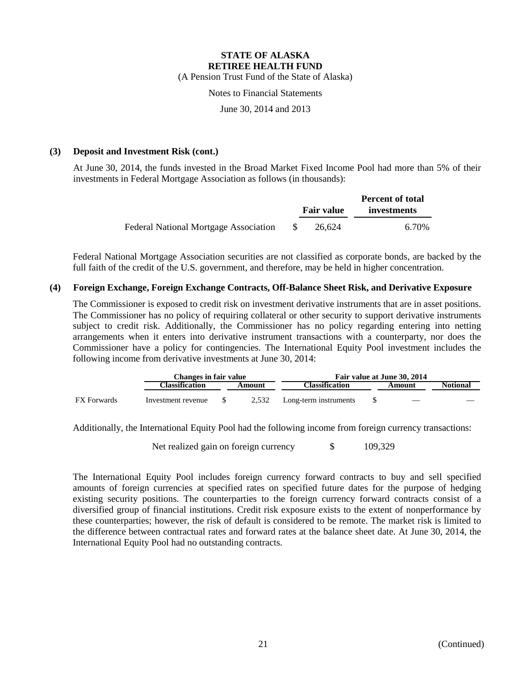(A Pension Trust Fund of the State of Alaska)

Notes to Financial Statements

June 30, 2014 and 2013

### **(3) Deposit and Investment Risk (cont.)**

At June 30, 2014, the funds invested in the Broad Market Fixed Income Pool had more than 5% of their investments in Federal Mortgage Association as follows (in thousands):

|                                              | <b>Percent of total</b> |             |  |
|----------------------------------------------|-------------------------|-------------|--|
|                                              | <b>Fair value</b>       | investments |  |
| <b>Federal National Mortgage Association</b> | 26.624                  | 6.70%       |  |

Federal National Mortgage Association securities are not classified as corporate bonds, are backed by the full faith of the credit of the U.S. government, and therefore, may be held in higher concentration.

### **(4) Foreign Exchange, Foreign Exchange Contracts, Off-Balance Sheet Risk, and Derivative Exposure**

The Commissioner is exposed to credit risk on investment derivative instruments that are in asset positions. The Commissioner has no policy of requiring collateral or other security to support derivative instruments subject to credit risk. Additionally, the Commissioner has no policy regarding entering into netting arrangements when it enters into derivative instrument transactions with a counterparty, nor does the Commissioner have a policy for contingencies. The International Equity Pool investment includes the following income from derivative investments at June 30, 2014:

|                    | Changes in fair value |  | Fair value at June 30, 2014 |                       |  |        |          |
|--------------------|-----------------------|--|-----------------------------|-----------------------|--|--------|----------|
|                    | <b>Classification</b> |  | A mount                     | <b>Classification</b> |  | Amount | Notional |
| <b>FX</b> Forwards | Investment revenue    |  | 2.532                       | Long-term instruments |  |        |          |

Additionally, the International Equity Pool had the following income from foreign currency transactions:

Net realized gain on foreign currency  $\qquad$  \$ 109,329

The International Equity Pool includes foreign currency forward contracts to buy and sell specified amounts of foreign currencies at specified rates on specified future dates for the purpose of hedging existing security positions. The counterparties to the foreign currency forward contracts consist of a diversified group of financial institutions. Credit risk exposure exists to the extent of nonperformance by these counterparties; however, the risk of default is considered to be remote. The market risk is limited to the difference between contractual rates and forward rates at the balance sheet date. At June 30, 2014, the International Equity Pool had no outstanding contracts.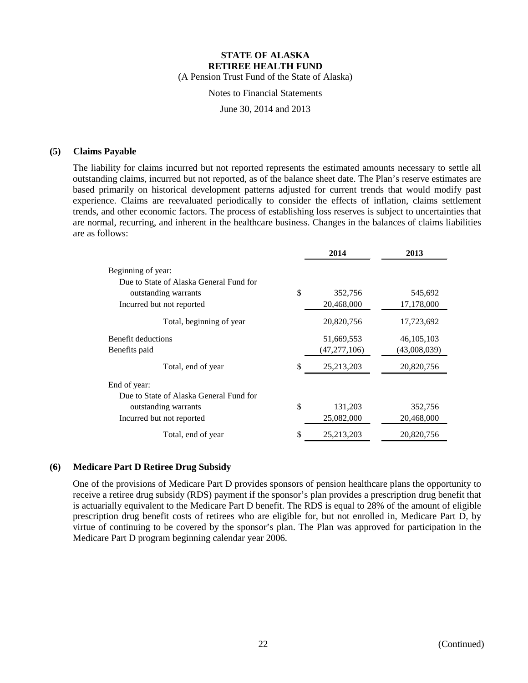(A Pension Trust Fund of the State of Alaska)

Notes to Financial Statements

June 30, 2014 and 2013

### **(5) Claims Payable**

The liability for claims incurred but not reported represents the estimated amounts necessary to settle all outstanding claims, incurred but not reported, as of the balance sheet date. The Plan's reserve estimates are based primarily on historical development patterns adjusted for current trends that would modify past experience. Claims are reevaluated periodically to consider the effects of inflation, claims settlement trends, and other economic factors. The process of establishing loss reserves is subject to uncertainties that are normal, recurring, and inherent in the healthcare business. Changes in the balances of claims liabilities are as follows:

|                                         |    | 2014           | 2013         |
|-----------------------------------------|----|----------------|--------------|
| Beginning of year:                      |    |                |              |
| Due to State of Alaska General Fund for |    |                |              |
| outstanding warrants                    | \$ | 352,756        | 545,692      |
| Incurred but not reported               |    | 20,468,000     | 17,178,000   |
| Total, beginning of year                |    | 20,820,756     | 17,723,692   |
| Benefit deductions                      |    | 51,669,553     | 46, 105, 103 |
| Benefits paid                           |    | (47, 277, 106) | (43,008,039) |
| Total, end of year                      | \$ | 25, 213, 203   | 20,820,756   |
| End of year:                            |    |                |              |
| Due to State of Alaska General Fund for |    |                |              |
| outstanding warrants                    | \$ | 131,203        | 352,756      |
| Incurred but not reported               |    | 25,082,000     | 20,468,000   |
| Total, end of year                      | S  | 25, 213, 203   | 20,820,756   |

### **(6) Medicare Part D Retiree Drug Subsidy**

One of the provisions of Medicare Part D provides sponsors of pension healthcare plans the opportunity to receive a retiree drug subsidy (RDS) payment if the sponsor's plan provides a prescription drug benefit that is actuarially equivalent to the Medicare Part D benefit. The RDS is equal to 28% of the amount of eligible prescription drug benefit costs of retirees who are eligible for, but not enrolled in, Medicare Part D, by virtue of continuing to be covered by the sponsor's plan. The Plan was approved for participation in the Medicare Part D program beginning calendar year 2006.